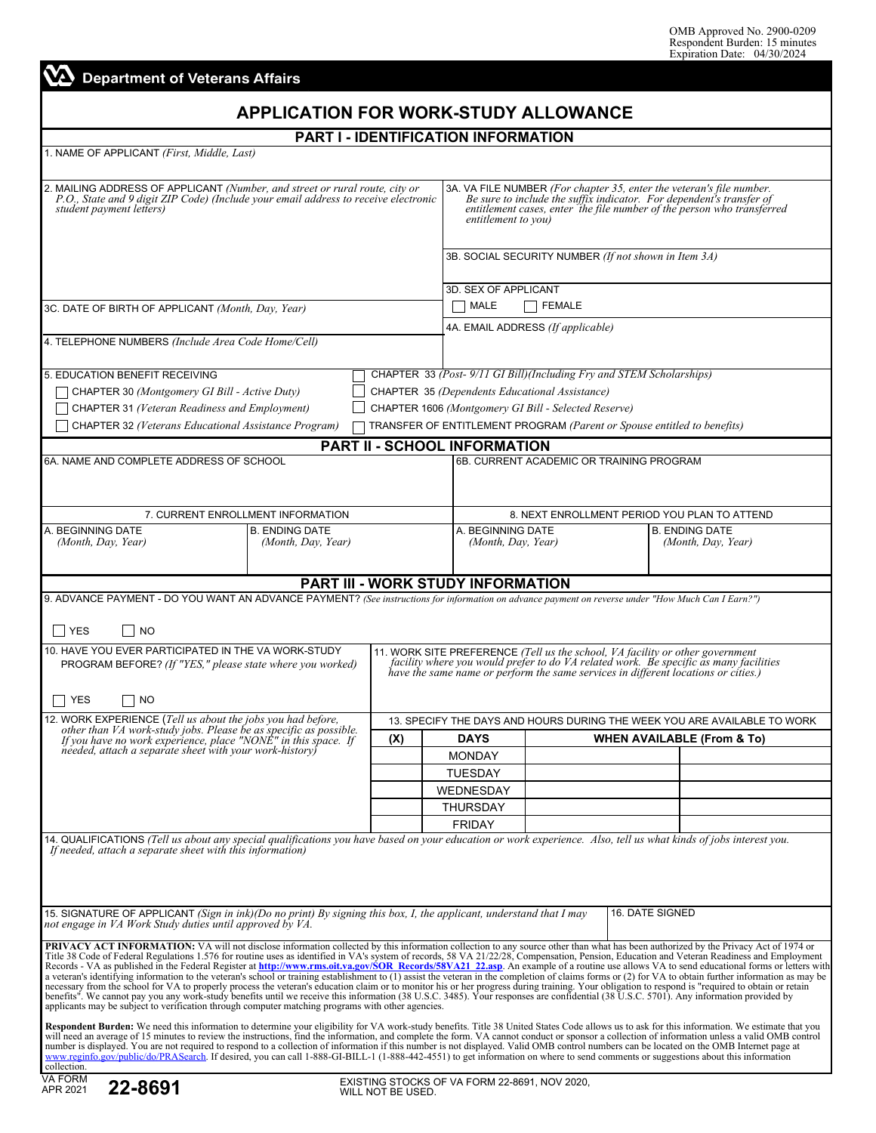|  | <b>A</b> Department of Veterans Affairs |  |  |
|--|-----------------------------------------|--|--|
|  |                                         |  |  |

# **APPLICATION FOR WORK-STUDY ALLOWANCE**

## **PART I - IDENTIFICATION INFORMATION**

1. NAME OF APPLICANT *(First, Middle, Last)*

| 2. MAILING ADDRESS OF APPLICANT (Number, and street or rural route, city or<br>P.O., State and 9 digit ZIP Code) (Include your email address to receive electronic<br>student payment letters)                                                                                                                                                                                                                                                                                                                                                                                                                                                                                                                                                                                                                                                                                                                                                                                                                                                                                                                                                                                                                                                                                                                   |                                                      | 3A. VA FILE NUMBER (For chapter 35, enter the veteran's file number.<br>Be sure to include the suffix indicator. For dependent's transfer of<br>entitlement cases, enter the file number of the person who transferred<br>entitlement to you) |                                                                               |                                                                       |  |  |  |  |
|------------------------------------------------------------------------------------------------------------------------------------------------------------------------------------------------------------------------------------------------------------------------------------------------------------------------------------------------------------------------------------------------------------------------------------------------------------------------------------------------------------------------------------------------------------------------------------------------------------------------------------------------------------------------------------------------------------------------------------------------------------------------------------------------------------------------------------------------------------------------------------------------------------------------------------------------------------------------------------------------------------------------------------------------------------------------------------------------------------------------------------------------------------------------------------------------------------------------------------------------------------------------------------------------------------------|------------------------------------------------------|-----------------------------------------------------------------------------------------------------------------------------------------------------------------------------------------------------------------------------------------------|-------------------------------------------------------------------------------|-----------------------------------------------------------------------|--|--|--|--|
|                                                                                                                                                                                                                                                                                                                                                                                                                                                                                                                                                                                                                                                                                                                                                                                                                                                                                                                                                                                                                                                                                                                                                                                                                                                                                                                  | 3B. SOCIAL SECURITY NUMBER (If not shown in Item 3A) |                                                                                                                                                                                                                                               |                                                                               |                                                                       |  |  |  |  |
|                                                                                                                                                                                                                                                                                                                                                                                                                                                                                                                                                                                                                                                                                                                                                                                                                                                                                                                                                                                                                                                                                                                                                                                                                                                                                                                  | 3D. SEX OF APPLICANT                                 |                                                                                                                                                                                                                                               |                                                                               |                                                                       |  |  |  |  |
| 3C. DATE OF BIRTH OF APPLICANT (Month, Day, Year)                                                                                                                                                                                                                                                                                                                                                                                                                                                                                                                                                                                                                                                                                                                                                                                                                                                                                                                                                                                                                                                                                                                                                                                                                                                                | MALE<br><b>FEMALE</b>                                |                                                                                                                                                                                                                                               |                                                                               |                                                                       |  |  |  |  |
|                                                                                                                                                                                                                                                                                                                                                                                                                                                                                                                                                                                                                                                                                                                                                                                                                                                                                                                                                                                                                                                                                                                                                                                                                                                                                                                  | 4A. EMAIL ADDRESS (If applicable)                    |                                                                                                                                                                                                                                               |                                                                               |                                                                       |  |  |  |  |
| 4. TELEPHONE NUMBERS (Include Area Code Home/Cell)                                                                                                                                                                                                                                                                                                                                                                                                                                                                                                                                                                                                                                                                                                                                                                                                                                                                                                                                                                                                                                                                                                                                                                                                                                                               |                                                      |                                                                                                                                                                                                                                               |                                                                               |                                                                       |  |  |  |  |
| 5. EDUCATION BENEFIT RECEIVING                                                                                                                                                                                                                                                                                                                                                                                                                                                                                                                                                                                                                                                                                                                                                                                                                                                                                                                                                                                                                                                                                                                                                                                                                                                                                   |                                                      | CHAPTER 33 (Post-9/11 GI Bill)(Including Fry and STEM Scholarships)                                                                                                                                                                           |                                                                               |                                                                       |  |  |  |  |
| $\Box$ CHAPTER 30 (Montgomery GI Bill - Active Duty)                                                                                                                                                                                                                                                                                                                                                                                                                                                                                                                                                                                                                                                                                                                                                                                                                                                                                                                                                                                                                                                                                                                                                                                                                                                             |                                                      | CHAPTER 35 (Dependents Educational Assistance)                                                                                                                                                                                                |                                                                               |                                                                       |  |  |  |  |
| $\Box$ CHAPTER 31 (Veteran Readiness and Employment)                                                                                                                                                                                                                                                                                                                                                                                                                                                                                                                                                                                                                                                                                                                                                                                                                                                                                                                                                                                                                                                                                                                                                                                                                                                             |                                                      |                                                                                                                                                                                                                                               | CHAPTER 1606 (Montgomery GI Bill - Selected Reserve)                          |                                                                       |  |  |  |  |
| CHAPTER 32 (Veterans Educational Assistance Program)                                                                                                                                                                                                                                                                                                                                                                                                                                                                                                                                                                                                                                                                                                                                                                                                                                                                                                                                                                                                                                                                                                                                                                                                                                                             |                                                      |                                                                                                                                                                                                                                               | TRANSFER OF ENTITLEMENT PROGRAM (Parent or Spouse entitled to benefits)       |                                                                       |  |  |  |  |
|                                                                                                                                                                                                                                                                                                                                                                                                                                                                                                                                                                                                                                                                                                                                                                                                                                                                                                                                                                                                                                                                                                                                                                                                                                                                                                                  |                                                      | <b>PART II - SCHOOL INFORMATION</b>                                                                                                                                                                                                           |                                                                               |                                                                       |  |  |  |  |
| 6A. NAME AND COMPLETE ADDRESS OF SCHOOL                                                                                                                                                                                                                                                                                                                                                                                                                                                                                                                                                                                                                                                                                                                                                                                                                                                                                                                                                                                                                                                                                                                                                                                                                                                                          |                                                      |                                                                                                                                                                                                                                               | 6B. CURRENT ACADEMIC OR TRAINING PROGRAM                                      |                                                                       |  |  |  |  |
|                                                                                                                                                                                                                                                                                                                                                                                                                                                                                                                                                                                                                                                                                                                                                                                                                                                                                                                                                                                                                                                                                                                                                                                                                                                                                                                  |                                                      |                                                                                                                                                                                                                                               |                                                                               |                                                                       |  |  |  |  |
|                                                                                                                                                                                                                                                                                                                                                                                                                                                                                                                                                                                                                                                                                                                                                                                                                                                                                                                                                                                                                                                                                                                                                                                                                                                                                                                  |                                                      |                                                                                                                                                                                                                                               |                                                                               |                                                                       |  |  |  |  |
| 7. CURRENT ENROLLMENT INFORMATION<br>A. BEGINNING DATE<br><b>B. ENDING DATE</b>                                                                                                                                                                                                                                                                                                                                                                                                                                                                                                                                                                                                                                                                                                                                                                                                                                                                                                                                                                                                                                                                                                                                                                                                                                  |                                                      |                                                                                                                                                                                                                                               |                                                                               | 8. NEXT ENROLLMENT PERIOD YOU PLAN TO ATTEND<br><b>B. ENDING DATE</b> |  |  |  |  |
| (Month, Day, Year)<br>(Month, Day, Year)                                                                                                                                                                                                                                                                                                                                                                                                                                                                                                                                                                                                                                                                                                                                                                                                                                                                                                                                                                                                                                                                                                                                                                                                                                                                         |                                                      | A. BEGINNING DATE<br>(Month, Day, Year)                                                                                                                                                                                                       |                                                                               | (Month, Day, Year)                                                    |  |  |  |  |
|                                                                                                                                                                                                                                                                                                                                                                                                                                                                                                                                                                                                                                                                                                                                                                                                                                                                                                                                                                                                                                                                                                                                                                                                                                                                                                                  |                                                      | <b>PART III - WORK STUDY INFORMATION</b>                                                                                                                                                                                                      |                                                                               |                                                                       |  |  |  |  |
| 9. ADVANCE PAYMENT - DO YOU WANT AN ADVANCE PAYMENT? (See instructions for information on advance payment on reverse under "How Much Can I Earn?")                                                                                                                                                                                                                                                                                                                                                                                                                                                                                                                                                                                                                                                                                                                                                                                                                                                                                                                                                                                                                                                                                                                                                               |                                                      |                                                                                                                                                                                                                                               |                                                                               |                                                                       |  |  |  |  |
| l YES<br><b>NO</b>                                                                                                                                                                                                                                                                                                                                                                                                                                                                                                                                                                                                                                                                                                                                                                                                                                                                                                                                                                                                                                                                                                                                                                                                                                                                                               |                                                      |                                                                                                                                                                                                                                               |                                                                               |                                                                       |  |  |  |  |
| 10. HAVE YOU EVER PARTICIPATED IN THE VA WORK-STUDY                                                                                                                                                                                                                                                                                                                                                                                                                                                                                                                                                                                                                                                                                                                                                                                                                                                                                                                                                                                                                                                                                                                                                                                                                                                              |                                                      |                                                                                                                                                                                                                                               | 11. WORK SITE PREFERENCE (Tell us the school, VA facility or other government |                                                                       |  |  |  |  |
| PROGRAM BEFORE? (If "YES," please state where you worked)                                                                                                                                                                                                                                                                                                                                                                                                                                                                                                                                                                                                                                                                                                                                                                                                                                                                                                                                                                                                                                                                                                                                                                                                                                                        |                                                      | facility where you would prefer to do VA related work. Be specific as many facilities<br>have the same name or perform the same services in different locations or cities.)                                                                   |                                                                               |                                                                       |  |  |  |  |
|                                                                                                                                                                                                                                                                                                                                                                                                                                                                                                                                                                                                                                                                                                                                                                                                                                                                                                                                                                                                                                                                                                                                                                                                                                                                                                                  |                                                      |                                                                                                                                                                                                                                               |                                                                               |                                                                       |  |  |  |  |
| YES<br><b>NO</b>                                                                                                                                                                                                                                                                                                                                                                                                                                                                                                                                                                                                                                                                                                                                                                                                                                                                                                                                                                                                                                                                                                                                                                                                                                                                                                 |                                                      |                                                                                                                                                                                                                                               |                                                                               |                                                                       |  |  |  |  |
| 12. WORK EXPERIENCE (Tell us about the jobs you had before,                                                                                                                                                                                                                                                                                                                                                                                                                                                                                                                                                                                                                                                                                                                                                                                                                                                                                                                                                                                                                                                                                                                                                                                                                                                      |                                                      | 13. SPECIFY THE DAYS AND HOURS DURING THE WEEK YOU ARE AVAILABLE TO WORK                                                                                                                                                                      |                                                                               |                                                                       |  |  |  |  |
| other than VA work-study jobs. Please be as specific as possible.<br>If you have no work experience, place "NONE" in this space. If                                                                                                                                                                                                                                                                                                                                                                                                                                                                                                                                                                                                                                                                                                                                                                                                                                                                                                                                                                                                                                                                                                                                                                              | (X)                                                  | <b>DAYS</b>                                                                                                                                                                                                                                   | <b>WHEN AVAILABLE (From &amp; To)</b>                                         |                                                                       |  |  |  |  |
| needed, attach a separate sheet with your work-history                                                                                                                                                                                                                                                                                                                                                                                                                                                                                                                                                                                                                                                                                                                                                                                                                                                                                                                                                                                                                                                                                                                                                                                                                                                           |                                                      | <b>MONDAY</b>                                                                                                                                                                                                                                 |                                                                               |                                                                       |  |  |  |  |
|                                                                                                                                                                                                                                                                                                                                                                                                                                                                                                                                                                                                                                                                                                                                                                                                                                                                                                                                                                                                                                                                                                                                                                                                                                                                                                                  |                                                      | <b>TUESDAY</b>                                                                                                                                                                                                                                |                                                                               |                                                                       |  |  |  |  |
|                                                                                                                                                                                                                                                                                                                                                                                                                                                                                                                                                                                                                                                                                                                                                                                                                                                                                                                                                                                                                                                                                                                                                                                                                                                                                                                  |                                                      | WEDNESDAY                                                                                                                                                                                                                                     |                                                                               |                                                                       |  |  |  |  |
|                                                                                                                                                                                                                                                                                                                                                                                                                                                                                                                                                                                                                                                                                                                                                                                                                                                                                                                                                                                                                                                                                                                                                                                                                                                                                                                  |                                                      | THURSDAY                                                                                                                                                                                                                                      |                                                                               |                                                                       |  |  |  |  |
|                                                                                                                                                                                                                                                                                                                                                                                                                                                                                                                                                                                                                                                                                                                                                                                                                                                                                                                                                                                                                                                                                                                                                                                                                                                                                                                  |                                                      | <b>FRIDAY</b>                                                                                                                                                                                                                                 |                                                                               |                                                                       |  |  |  |  |
| 14. QUALIFICATIONS (Tell us about any special qualifications you have based on your education or work experience. Also, tell us what kinds of jobs interest you.<br>If needed, attach a separate sheet with this information)                                                                                                                                                                                                                                                                                                                                                                                                                                                                                                                                                                                                                                                                                                                                                                                                                                                                                                                                                                                                                                                                                    |                                                      |                                                                                                                                                                                                                                               |                                                                               |                                                                       |  |  |  |  |
|                                                                                                                                                                                                                                                                                                                                                                                                                                                                                                                                                                                                                                                                                                                                                                                                                                                                                                                                                                                                                                                                                                                                                                                                                                                                                                                  |                                                      |                                                                                                                                                                                                                                               |                                                                               |                                                                       |  |  |  |  |
|                                                                                                                                                                                                                                                                                                                                                                                                                                                                                                                                                                                                                                                                                                                                                                                                                                                                                                                                                                                                                                                                                                                                                                                                                                                                                                                  |                                                      |                                                                                                                                                                                                                                               |                                                                               |                                                                       |  |  |  |  |
|                                                                                                                                                                                                                                                                                                                                                                                                                                                                                                                                                                                                                                                                                                                                                                                                                                                                                                                                                                                                                                                                                                                                                                                                                                                                                                                  |                                                      |                                                                                                                                                                                                                                               |                                                                               |                                                                       |  |  |  |  |
| 15. SIGNATURE OF APPLICANT (Sign in ink)(Do no print) By signing this box, I, the applicant, understand that I may<br>not engage in VA Work Study duties until approved by VA.                                                                                                                                                                                                                                                                                                                                                                                                                                                                                                                                                                                                                                                                                                                                                                                                                                                                                                                                                                                                                                                                                                                                   |                                                      |                                                                                                                                                                                                                                               |                                                                               | 16. DATE SIGNED                                                       |  |  |  |  |
| <b>PRIVACY ACT INFORMATION:</b> VA will not disclose information collected by this information collection to any source other than what has been authorized by the Privacy Act of 1974 or<br>Title 38 Code of Federal Regulations 1.576 for routine uses as identified in VA's system of records, 58 VA 21/22/28, Compensation, Pension, Education and Veteran Readiness and Employment<br>Records - VA as published in the Federal Register at http://www.rms.oit.va.gov/SOR Records/58VA21 22.asp. An example of a routine use allows VA to send educational forms or letters with<br>a veteran's identifying information to the veteran's school or training establishment to $(\overline{1})$ assist the veteran in the completion of claims forms or (2) for VA to obtain further information as may be<br>necessary from the school for VA to properly process the veteran's education claim or to monitor his or her progress during training. Your obligation to respond is "required to obtain or retain<br>benefits". We cannot pay you any work-study benefits until we receive this information (38 U.S.C. 3485). Your responses are confidential (38 U.S.C. 5701). Any information provided by<br>applicants may be subject to verification through computer matching programs with other agencies. |                                                      |                                                                                                                                                                                                                                               |                                                                               |                                                                       |  |  |  |  |
| Respondent Burden: We need this information to determine your eligibility for VA work-study benefits. Title 38 United States Code allows us to ask for this information. We estimate that you<br>will need an average of 15 minutes to review the instructions, find the information, and complete the form. VA cannot conduct or sponsor a collection of information unless a valid OMB control<br>number is displayed. You are not required to respond to a collection of information if this number is not displayed. Valid OMB control numbers can be located on the OMB Internet page at<br>www.reginfo.gov/public/do/PRASearch. If desired, you can call 1-888-GI-BILL-1 (1-888-442-4551) to get information on where to send comments or suggestions about this information<br>collection.                                                                                                                                                                                                                                                                                                                                                                                                                                                                                                                |                                                      |                                                                                                                                                                                                                                               |                                                                               |                                                                       |  |  |  |  |